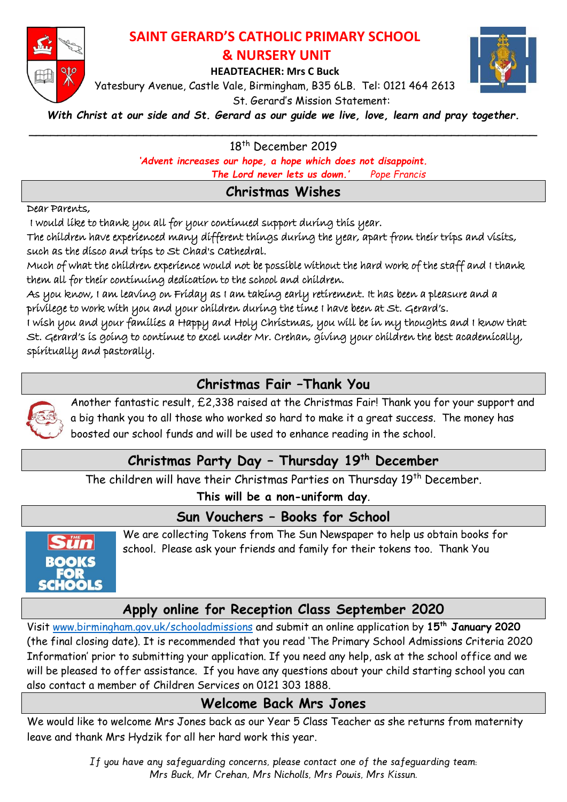

### **SAINT GERARD'S CATHOLIC PRIMARY SCHOOL & NURSERY UNIT**

**HEADTEACHER: Mrs C Buck**



Yatesbury Avenue, Castle Vale, Birmingham, B35 6LB. Tel: 0121 464 2613

St. Gerard's Mission Statement:

*With Christ at our side and St. Gerard as our guide we live, love, learn and pray together.*

\_\_\_\_\_\_\_\_\_\_\_\_\_\_\_\_\_\_\_\_\_\_\_\_\_\_\_\_\_\_\_\_\_\_\_\_\_\_\_\_\_\_\_\_\_\_\_\_\_\_\_\_\_\_\_\_\_\_\_\_\_\_\_\_\_\_\_\_\_\_\_ 18<sup>th</sup> December 2019

*'Advent increases our hope, a hope which does not disappoint.*

 *The Lord never lets us down.' Pope Francis*

## **Christmas Wishes**

#### Dear Parents,

I would like to thank you all for your continued support during this year.

The children have experienced many different things during the year, apart from their trips and visits, such as the disco and trips to St Chad's Cathedral.

Much of what the children experience would not be possible without the hard work of the staff and I thank them all for their continuing dedication to the school and children.

As you know, I am leaving on Friday as I am taking early retirement. It has been a pleasure and a privilege to work with you and your children during the time I have been at St. Gerard's.

I wish you and your families a Happy and Holy Christmas, you will be in my thoughts and I know that St. Gerard's is going to continue to excel under Mr. Crehan, giving your children the best academically, spiritually and pastorally.

## **Christmas Fair –Thank You**



Another fantastic result, £2,338 raised at the Christmas Fair! Thank you for your support and a big thank you to all those who worked so hard to make it a great success. The money has boosted our school funds and will be used to enhance reading in the school.

# **Christmas Party Day – Thursday 19th December**

The children will have their Christmas Parties on Thursday 19<sup>th</sup> December.

**This will be a non-uniform day**.

### **Sun Vouchers – Books for School**



We are collecting Tokens from The Sun Newspaper to help us obtain books for school. Please ask your friends and family for their tokens too. Thank You

# **Apply online for Reception Class September 2020**

Visit [www.birmingham.gov.uk/schooladmissions](http://www.birmingham.gov.uk/schooladmissions) and submit an online application by **15th January 2020**  (the final closing date). It is recommended that you read 'The Primary School Admissions Criteria 2020 Information' prior to submitting your application. If you need any help, ask at the school office and we will be pleased to offer assistance. If you have any questions about your child starting school you can also contact a member of Children Services on 0121 303 1888.

### **Welcome Back Mrs Jones**

We would like to welcome Mrs Jones back as our Year 5 Class Teacher as she returns from maternity leave and thank Mrs Hydzik for all her hard work this year.

> *If you have any safeguarding concerns, please contact one of the safeguarding team: Mrs Buck, Mr Crehan, Mrs Nicholls, Mrs Powis, Mrs Kissun.*